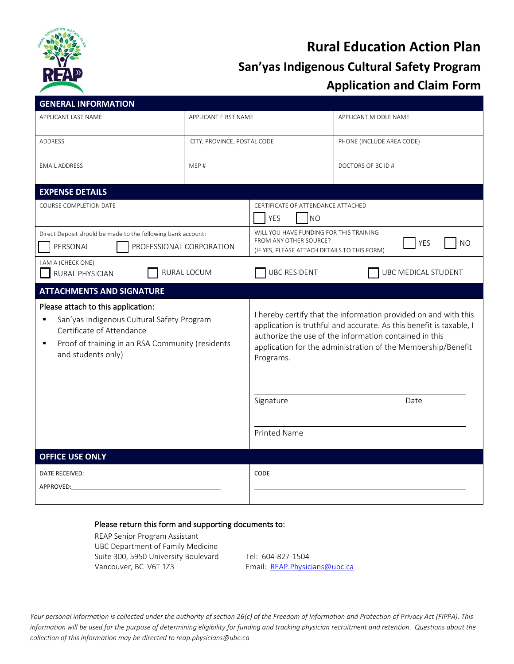

# **Rural Education Action Plan San'yas Indigenous Cultural Safety Program Application and Claim Form**

| <b>GENERAL INFORMATION</b>                                                                                                                                                                        |             |                                                                                                                                                                                                                                                                               |                           |
|---------------------------------------------------------------------------------------------------------------------------------------------------------------------------------------------------|-------------|-------------------------------------------------------------------------------------------------------------------------------------------------------------------------------------------------------------------------------------------------------------------------------|---------------------------|
| APPLICANT LAST NAME<br>APPLICANT FIRST NAME                                                                                                                                                       |             |                                                                                                                                                                                                                                                                               | APPLICANT MIDDLE NAME     |
| ADDRESS<br>CITY, PROVINCE, POSTAL CODE                                                                                                                                                            |             |                                                                                                                                                                                                                                                                               | PHONE (INCLUDE AREA CODE) |
| <b>EMAIL ADDRESS</b>                                                                                                                                                                              | MSP#        |                                                                                                                                                                                                                                                                               | DOCTORS OF BC ID #        |
| <b>EXPENSE DETAILS</b>                                                                                                                                                                            |             |                                                                                                                                                                                                                                                                               |                           |
| <b>COURSE COMPLETION DATE</b>                                                                                                                                                                     |             | CERTIFICATE OF ATTENDANCE ATTACHED<br><b>YES</b><br><b>NO</b>                                                                                                                                                                                                                 |                           |
| Direct Deposit should be made to the following bank account:<br>PERSONAL<br>PROFESSIONAL CORPORATION                                                                                              |             | WILL YOU HAVE FUNDING FOR THIS TRAINING<br>FROM ANY OTHER SOURCE?<br>YES<br><b>NO</b><br>(IF YES, PLEASE ATTACH DETAILS TO THIS FORM)                                                                                                                                         |                           |
| I AM A (CHECK ONE)<br>RURAL PHYSICIAN                                                                                                                                                             | RURAL LOCUM | <b>UBC RESIDENT</b>                                                                                                                                                                                                                                                           | UBC MEDICAL STUDENT       |
| <b>ATTACHMENTS AND SIGNATURE</b>                                                                                                                                                                  |             |                                                                                                                                                                                                                                                                               |                           |
| Please attach to this application:<br>San'yas Indigenous Cultural Safety Program<br>٠<br>Certificate of Attendance<br>Proof of training in an RSA Community (residents<br>П<br>and students only) |             | I hereby certify that the information provided on and with this<br>application is truthful and accurate. As this benefit is taxable, I<br>authorize the use of the information contained in this<br>application for the administration of the Membership/Benefit<br>Programs. |                           |
|                                                                                                                                                                                                   |             | Signature                                                                                                                                                                                                                                                                     | Date                      |
|                                                                                                                                                                                                   |             | <b>Printed Name</b>                                                                                                                                                                                                                                                           |                           |
| <b>OFFICE USE ONLY</b>                                                                                                                                                                            |             |                                                                                                                                                                                                                                                                               |                           |
| DATE RECEIVED: NAMEL AND THE RECEIVED:<br>APPROVED:                                                                                                                                               |             | CODE                                                                                                                                                                                                                                                                          |                           |
|                                                                                                                                                                                                   |             |                                                                                                                                                                                                                                                                               |                           |

#### Please return this form and supporting documents to:

REAP Senior Program Assistant UBC Department of Family Medicine Suite 300, 5950 University Boulevard Tel: 604-827-1504 Vancouver, BC V6T 1Z3 Email: [REAP.Physicians@ubc.ca](mailto:REAP.Physicians@ubc.ca)

*Your personal information is collected under the authority of section 26(c) of the Freedom of Information and Protection of Privacy Act (FIPPA). This information will be used for the purpose of determining eligibility for funding and tracking physician recruitment and retention. Questions about the collection of this information may be directed to reap.physicians@ubc.ca*